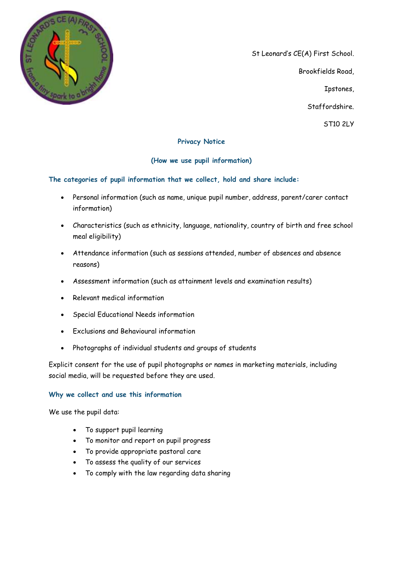

St Leonard's CE(A) First School. Brookfields Road, Ipstones, Staffordshire. ST10 2LY

## **Privacy Notice**

## **(How we use pupil information)**

**The categories of pupil information that we collect, hold and share include:**

- Personal information (such as name, unique pupil number, address, parent/carer contact information)
- Characteristics (such as ethnicity, language, nationality, country of birth and free school meal eligibility)
- Attendance information (such as sessions attended, number of absences and absence reasons)
- Assessment information (such as attainment levels and examination results)
- Relevant medical information
- Special Educational Needs information
- Exclusions and Behavioural information
- Photographs of individual students and groups of students

Explicit consent for the use of pupil photographs or names in marketing materials, including social media, will be requested before they are used.

## **Why we collect and use this information**

We use the pupil data:

- To support pupil learning
- To monitor and report on pupil progress
- To provide appropriate pastoral care
- To assess the quality of our services
- To comply with the law regarding data sharing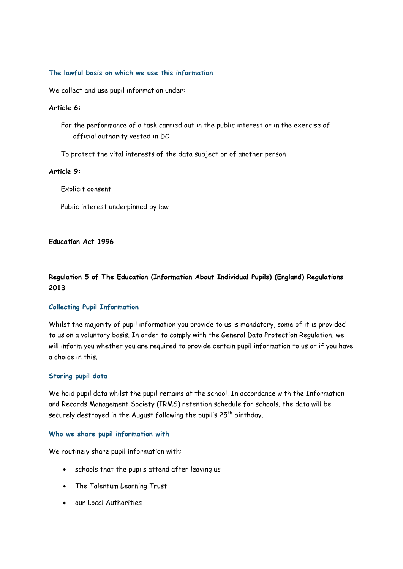#### **The lawful basis on which we use this information**

We collect and use pupil information under:

#### **Article 6:**

- For the performance of a task carried out in the public interest or in the exercise of official authority vested in DC
- To protect the vital interests of the data subject or of another person

#### **Article 9:**

Explicit consent

Public interest underpinned by law

#### **Education Act 1996**

# **Regulation 5 of The Education (Information About Individual Pupils) (England) Regulations 2013**

## **Collecting Pupil Information**

Whilst the majority of pupil information you provide to us is mandatory, some of it is provided to us on a voluntary basis. In order to comply with the General Data Protection Regulation, we will inform you whether you are required to provide certain pupil information to us or if you have a choice in this.

## **Storing pupil data**

We hold pupil data whilst the pupil remains at the school. In accordance with the Information and Records Management Society (IRMS) retention schedule for schools, the data will be securely destroyed in the August following the pupil's  $25<sup>th</sup>$  birthday.

#### **Who we share pupil information with**

We routinely share pupil information with:

- schools that the pupils attend after leaving us
- The Talentum Learning Trust
- our Local Authorities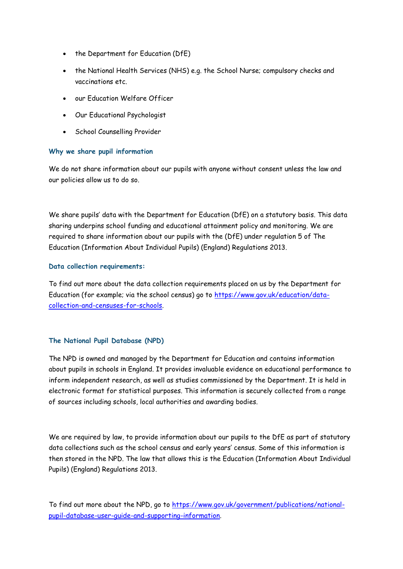- the Department for Education (DfE)
- the National Health Services (NHS) e.g. the School Nurse; compulsory checks and vaccinations etc.
- our Education Welfare Officer
- Our Educational Psychologist
- School Counselling Provider

## **Why we share pupil information**

We do not share information about our pupils with anyone without consent unless the law and our policies allow us to do so.

We share pupils' data with the Department for Education (DfE) on a statutory basis. This data sharing underpins school funding and educational attainment policy and monitoring. We are required to share information about our pupils with the (DfE) under regulation 5 of The Education (Information About Individual Pupils) (England) Regulations 2013.

## **Data collection requirements:**

To find out more about the data collection requirements placed on us by the Department for Education (for example; via the school census) go to [https://www.gov.uk/education/data](https://www.gov.uk/education/data-collection-and-censuses-for-schools)[collection-and-censuses-for-schools.](https://www.gov.uk/education/data-collection-and-censuses-for-schools)

# **The National Pupil Database (NPD)**

The NPD is owned and managed by the Department for Education and contains information about pupils in schools in England. It provides invaluable evidence on educational performance to inform independent research, as well as studies commissioned by the Department. It is held in electronic format for statistical purposes. This information is securely collected from a range of sources including schools, local authorities and awarding bodies.

We are required by law, to provide information about our pupils to the DfE as part of statutory data collections such as the school census and early years' census. Some of this information is then stored in the NPD. The law that allows this is the Education (Information About Individual Pupils) (England) Regulations 2013.

To find out more about the NPD, go to [https://www.gov.uk/government/publications/national](https://www.gov.uk/government/publications/national-pupil-database-user-guide-and-supporting-information)[pupil-database-user-guide-and-supporting-information.](https://www.gov.uk/government/publications/national-pupil-database-user-guide-and-supporting-information)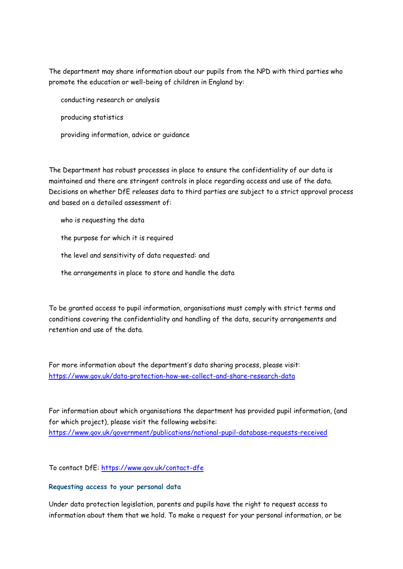The department may share information about our pupils from the NPD with third parties who promote the education or well-being of children in England by:

conducting research or analysis producing statistics providing information, advice or guidance

The Department has robust processes in place to ensure the confidentiality of our data is maintained and there are stringent controls in place regarding access and use of the data. Decisions on whether DfE releases data to third parties are subject to a strict approval process and based on a detailed assessment of:

- who is requesting the data
- the purpose for which it is required
- the level and sensitivity of data requested: and
- the arrangements in place to store and handle the data

To be granted access to pupil information, organisations must comply with strict terms and conditions covering the confidentiality and handling of the data, security arrangements and retention and use of the data.

For more information about the department's data sharing process, please visit: <https://www.gov.uk/data-protection-how-we-collect-and-share-research-data>

For information about which organisations the department has provided pupil information, (and for which project), please visit the following website: <https://www.gov.uk/government/publications/national-pupil-database-requests-received>

To contact DfE:<https://www.gov.uk/contact-dfe>

#### **Requesting access to your personal data**

Under data protection legislation, parents and pupils have the right to request access to information about them that we hold. To make a request for your personal information, or be